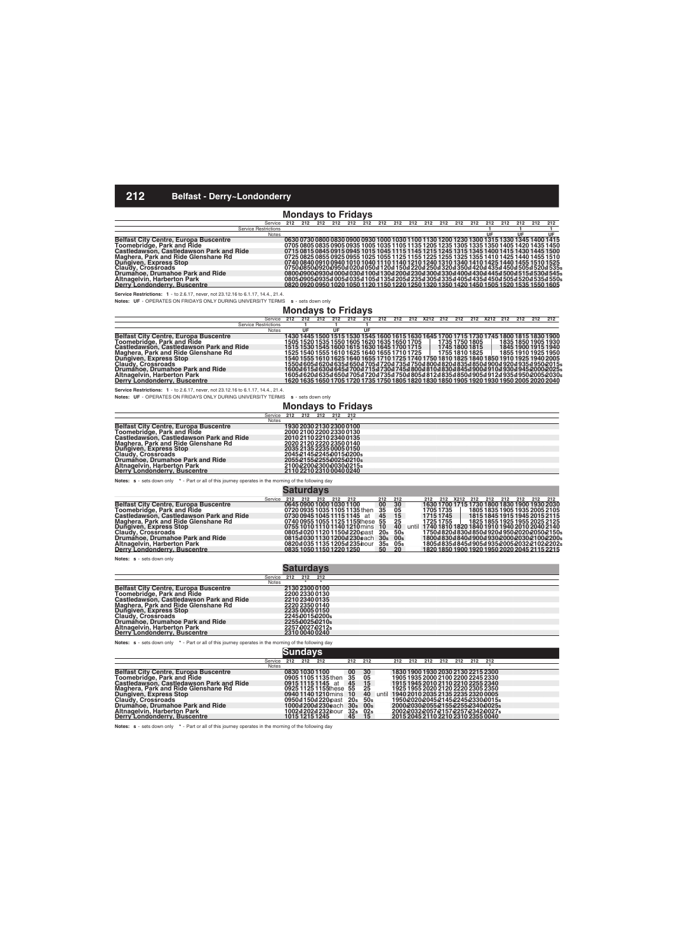# **Mondays to Fridays**

| Service                                      | 212 | 212                                                                                       | 212 | 212 212 | 212 | 212 212 | 212 212 212 212 |  | 212 | 212 212 | 212 | 212 | 212                                                                                                   |
|----------------------------------------------|-----|-------------------------------------------------------------------------------------------|-----|---------|-----|---------|-----------------|--|-----|---------|-----|-----|-------------------------------------------------------------------------------------------------------|
| <b>Service Restrictions</b>                  |     |                                                                                           |     |         |     |         |                 |  |     |         |     |     |                                                                                                       |
| Notes                                        |     |                                                                                           |     |         |     |         |                 |  |     | UF      | UF  |     | UF                                                                                                    |
| <b>Belfast City Centre, Europa Buscentre</b> |     | 0630 0730 0800 0830 0900 0930 1000 1030 1100 1130 1200 1230 1300 1315 1330 1345 1400 1415 |     |         |     |         |                 |  |     |         |     |     |                                                                                                       |
| Toomebridge, Park and Ride                   |     | 0705 0805 0835 0905 0935 1005 1035 1105 1135 1205 1235 1305 1335 1350 1405 1420 1435 1450 |     |         |     |         |                 |  |     |         |     |     |                                                                                                       |
| Castledawson, Castledawson Park and Ride     |     | 0715 0815 0845 0915 0945 1015 1045 1115 1145 1215 1245 1315 1345 1400 1415 1430 1445 1500 |     |         |     |         |                 |  |     |         |     |     |                                                                                                       |
| Maghera, Park and Ride Glenshane Rd          |     |                                                                                           |     |         |     |         |                 |  |     |         |     |     | 0725 0825 0855 0925 0955 1025 1055 1125 1155 1225 1255 1325 1355 1410 1425 1440 1455 1510             |
| Dungiven, Express Stop<br>Claudy, Crossroads |     |                                                                                           |     |         |     |         |                 |  |     |         |     |     | 0740 0840 0910 0940 1010 1040 1110 1140 1210 1240 1310 1340 1410 1425 1440 1455 1510 1525             |
|                                              |     |                                                                                           |     |         |     |         |                 |  |     |         |     |     | 0750085009200950sl 020sl 050sl 120sl 150sl 220sl 250sl 320sl 350sl 420sl 435sl 450sl 505sl 520sl 535s |
| Drumáĥoe. Drumahoe Park and Ride             |     |                                                                                           |     |         |     |         |                 |  |     |         |     |     | 080049004930400040304100413042004230430043304400443044454500451545304515                              |
| Altnagelvin, Harberton Park                  |     |                                                                                           |     |         |     |         |                 |  |     |         |     |     | 0805D905D935s1005s1035s1105s1135s1205s1235s1305s1335s1405s1435s1450s1505s1520s1535s1550s              |
| Derry Londonderry, Buscentre                 |     | 0820 0920 0950 1020 1050 1120 1150 1220 1250 1320 1350 1420 1450 1505 1520 1535 1550 1605 |     |         |     |         |                 |  |     |         |     |     |                                                                                                       |

**Service Restrictions: 1** - to 2.6.17, never, not 23.12.16 to 6.1.17, 14.4., 21.4.

**Notes: UF** - OPERATES ON FRIDAYS ONLY DURING UNIVERSITY TERMS **s** - sets down only

#### **Mondays to Fridays**

|                                              | Service      | 212 | 212 | 212 | 212                                          | 212 | 212 | 212 | 212 | 212 X212 212 |                | 212 |                | 212 X212 212 | 212 | 212                                                                                       | 212                                                                                                        |
|----------------------------------------------|--------------|-----|-----|-----|----------------------------------------------|-----|-----|-----|-----|--------------|----------------|-----|----------------|--------------|-----|-------------------------------------------------------------------------------------------|------------------------------------------------------------------------------------------------------------|
| <b>Service Restrictions</b>                  |              |     |     |     |                                              |     |     |     |     |              |                |     |                |              |     |                                                                                           |                                                                                                            |
|                                              | <b>Notes</b> |     | UF  |     | UF                                           |     | UF  |     |     |              |                |     |                |              |     |                                                                                           |                                                                                                            |
| <b>Belfast City Centre, Europa Buscentre</b> |              |     |     |     |                                              |     |     |     |     |              |                |     |                |              |     | 1430 1445 1500 1515 1530 1545 1600 1615 1630 1645 1700 1715 1730 1745 1800 1815 1830 1900 |                                                                                                            |
| Toomebridge, Park and Ride                   |              |     |     |     | 1505 1520 1535 1550 1605 1620 1635 1650 1705 |     |     |     |     |              | 1735 1750 1805 |     |                |              |     | 1835 1850 1905 1930                                                                       |                                                                                                            |
| Castledawson, Castledawson Park and Ride     |              |     |     |     | 1515 1530 1545 1600 1615 1630 1645 1700 1715 |     |     |     |     |              |                |     | 1745 1800 1815 |              |     | 1845 1900 1915 1940                                                                       |                                                                                                            |
| Maghera, Park and Ride Glenshane Rd          |              |     |     |     | 1525 1540 1555 1610 1625 1640 1655 1710 1725 |     |     |     |     |              | 1755 1810 1825 |     |                |              |     | 1855 1910 1925 1950                                                                       |                                                                                                            |
| Dungiven, Express Stop                       |              |     |     |     |                                              |     |     |     |     |              |                |     |                |              |     | 1540 1555 1610 1625 1640 1655 1710 1725 1740 1750 1810 1825 1840 1850 1910 1925 1940 2005 |                                                                                                            |
| Claudy, Crossroads                           |              |     |     |     |                                              |     |     |     |     |              |                |     |                |              |     |                                                                                           | 1550al 605al 620al 635al 650al 705al 720al 735al 750al 800al 820al 835al 850al 900al 920al 935al 950a2015a |
| Drumahoe, Drumahoe Park and Ride             |              |     |     |     |                                              |     |     |     |     |              |                |     |                |              |     |                                                                                           | 1600s1615s1630s1645s1700s1715s1730s1745s1800s1810s1830s1845s1900s1910s1930s1945s2000s2025s                 |
| Altnagelvin, Harberton Park                  |              |     |     |     |                                              |     |     |     |     |              |                |     |                |              |     |                                                                                           | 1605s1620s1635s1650s1705s1720s1735s1750s1805s1812s1835s1850s1905s1912s1935s1950s2005s2030s                 |
| Derry Londonderry, Buscentre                 |              |     |     |     |                                              |     |     |     |     |              |                |     |                |              |     | 1620 1635 1650 1705 1720 1735 1750 1805 1820 1830 1850 1905 1920 1930 1950 2005 2020 2040 |                                                                                                            |

**Service Restrictions: 1** - to 2.6.17, never, not 23.12.16 to 6.1.17, 14.4., 21.4.

**Notes: UF** - OPERATES ON FRIDAYS ONLY DURING UNIVERSITY TERMS **s** - sets down only

### **Mondays to Fridays**

|                                                                                     | Service      | 212 | 212 | 212 | 212                      | 212                   |  |
|-------------------------------------------------------------------------------------|--------------|-----|-----|-----|--------------------------|-----------------------|--|
|                                                                                     | <b>Notes</b> |     |     |     |                          |                       |  |
| <b>Belfast City Centre, Europa Buscentre</b>                                        |              |     |     |     | 1930 2030 2130 2300 0100 |                       |  |
| Toomebridge, Park and Ride                                                          |              |     |     |     | 2000 2100 2200 2330 0130 |                       |  |
| Castledawson, Castledawson Park and Ride                                            |              |     |     |     | 2010 2110 2210 2340 0135 |                       |  |
| Maghera, Park and Ride Glenshane Rd<br>Dungiven, Express Stop<br>Claudy, Crossroads |              |     |     |     | 2020 2120 2220 2350 0140 |                       |  |
|                                                                                     |              |     |     |     | 2035 2135 2235 0005 0150 |                       |  |
|                                                                                     |              |     |     |     |                          | 20452145224500150200s |  |
| Drumáhoe, Drumahoe Park and Ride                                                    |              |     |     |     |                          | 20552155225500250210s |  |
| <b>Altnagelvin, Harberton Park</b>                                                  |              |     |     |     |                          | 21002200230000300215s |  |
| Derry Londonderry, Buscentre                                                        |              |     |     |     | 2110 2210 2310 0040 0240 |                       |  |

**Notes: s** - sets down only **\*** - Part or all of this journey operates in the morning of the following day

|                                              |         |     | Saturdavs |     |     |                                   |                 |                 |           |     |          |                                                    |                               |     |         |  |
|----------------------------------------------|---------|-----|-----------|-----|-----|-----------------------------------|-----------------|-----------------|-----------|-----|----------|----------------------------------------------------|-------------------------------|-----|---------|--|
|                                              | Service | 212 | 212       | 212 | 212 | 212                               | 212             | 212             | 212       | 212 | X212 212 |                                                    | 212 212                       | 212 | 212 212 |  |
| <b>Belfast City Centre, Europa Buscentre</b> |         |     |           |     |     | 0645 0900 1000 1030 1100          | 00              | 30              |           |     |          | 1630 1700 1715 1730 1800 1830 1900 1930 2030       |                               |     |         |  |
| Toomebridge, Park and Ride                   |         |     |           |     |     | 0720 0935 1035 1105 1135 then     | 35              | 05              | 1705 1735 |     |          |                                                    | 1805 1835 1905 1935 2005 2105 |     |         |  |
| Castledawson, Castledawson Park and Ride     |         |     |           |     |     | 0730 0945 1045 1115 1145 at       | 45              | 15              | 1715 1745 |     |          | 1815 1845 1915 1945 2015 2115                      |                               |     |         |  |
| Maghera, Park and Ride Glenshane Rd          |         |     |           |     |     | 0740 0955 1055 1125 1155 these 55 |                 | 25              | 1725 1755 |     |          | 1825 1855 1925 1955 2025 2125                      |                               |     |         |  |
| Dungiven, Express Stop<br>Claudy, Crossroads |         |     |           |     |     | 0755 1010 1110 1140 1210 mins 10  |                 | 40              |           |     |          | until 1740 1810 1820 1840 1910 1940 2010 2040 2140 |                               |     |         |  |
|                                              |         |     |           |     |     | 0805s102011201150s1220spast       | 20s             | 50 <sub>s</sub> |           |     |          | 1750st820st830st850st920st950s2020s2050s2150s      |                               |     |         |  |
| Drumahoe, Drumahoe Park and Ride             |         |     |           |     |     | 0815s103011301200s1230each        | 30 <sub>s</sub> | 00 <sub>s</sub> |           |     |          | 1800st 830st 840st 900st 930s2000s2030s2100s2200s  |                               |     |         |  |
| Altnagelvin, Harberton Park                  |         |     |           |     |     | 0820s1035 1135 1205s1235 hour     | 35 <sub>s</sub> | 05s             |           |     |          | 1805s1835s1845s1905s1935s2005s2032s2102s2202s      |                               |     |         |  |
| Derry Londonderry, Buscentre                 |         |     |           |     |     | 0835 1050 1150 1220 1250          | 50              | 20              |           |     |          | 1820 1850 1900 1920 1950 2020 2045 2115 2215       |                               |     |         |  |

**Notes: s** - sets down only

|                                              |              | <b>Saturdays</b> |     |                 |  |
|----------------------------------------------|--------------|------------------|-----|-----------------|--|
|                                              | Service      | 212              | 212 | - 212           |  |
|                                              | <b>Notes</b> |                  |     |                 |  |
| <b>Belfast City Centre, Europa Buscentre</b> |              | 2130 2300 0100   |     |                 |  |
| Toomebridge, Park and Ride                   |              | 2200 2330 0130   |     |                 |  |
| Castledawson, Castledawson Park and Ride     |              | 221023400135     |     |                 |  |
| Maghera, Park and Ride Glenshane Rd          |              |                  |     | 2220 2350 0140  |  |
| Dungiven, Express Stop                       |              | 2235 0005 0150   |     |                 |  |
| Claudy, Crossroads                           |              |                  |     | 224500150200s   |  |
| Drumánoe, Drumahoe Park and Ride             |              |                  |     | 2255402540210s  |  |
| Altnagelvin, Harberton Park                  |              |                  |     | 22574002740212s |  |
| Derry Londonderry, Buscentre                 |              |                  |     | 231000400240    |  |

**Notes: s** - sets down only **\*** - Part or all of this journey operates in the morning of the following day

|                                                                                                                         |              |     | նundays |                         |                 |                 |       |     |     |     |     |     |     |                                    |  |
|-------------------------------------------------------------------------------------------------------------------------|--------------|-----|---------|-------------------------|-----------------|-----------------|-------|-----|-----|-----|-----|-----|-----|------------------------------------|--|
|                                                                                                                         | Service      | 212 | 212     | 212                     | 212             | 212             |       | 212 | 212 | 212 | 212 | 212 | 212 | - 212                              |  |
|                                                                                                                         | <b>Notes</b> |     |         |                         |                 |                 |       |     |     |     |     |     |     |                                    |  |
| <b>Belfast City Centre, Europa Buscentre</b>                                                                            |              |     |         | 0830 1030 1100          |                 | 30              |       |     |     |     |     |     |     | 1830 1900 1930 2030 2130 2215 2300 |  |
| Toomebridge, Park and Ride                                                                                              |              |     |         | 0905 1105 1135 then     | $\frac{00}{35}$ | 05              |       |     |     |     |     |     |     | 1905 1935 2000 2100 2200 2245 2330 |  |
| Castledawson, Castledawson Park and Ride                                                                                |              |     |         | 091511151145 at         | 45              | 15              |       |     |     |     |     |     |     | 1915 1945 2010 2110 2210 2255 2340 |  |
|                                                                                                                         |              |     |         | 0925 1125 1155 these 55 |                 | 25              |       |     |     |     |     |     |     | 1925 1955 2020 2120 2220 2305 2350 |  |
|                                                                                                                         |              |     |         | 0940 1140 1210 mins     | 10              | 40              | until |     |     |     |     |     |     | 1940 2010 2035 2135 2235 2320 0005 |  |
|                                                                                                                         |              |     |         | 0950s1150s1220spast     | 20 <sub>s</sub> | 50 <sub>s</sub> |       |     |     |     |     |     |     | 1950202020452145224523300015s      |  |
| Maghera, Park and Ride Glenshane Rd<br>Dungiven, Express Stop<br>Claudy, Crossroads<br>Drumahoe, Drumahoe Park and Ride |              |     |         | 1000s1200s1230each      | 30 <sub>s</sub> | 00 <sub>s</sub> |       |     |     |     |     |     |     | 2000203020552155225523400025s      |  |
| Altnagelvin, Harberton Park                                                                                             |              |     |         | 1002s1202s1232shour     | 32 <sub>s</sub> | 02 <sub>s</sub> |       |     |     |     |     |     |     | 2002203220572157225723423027s      |  |
| Derry Londonderry, Buscentre                                                                                            |              |     |         | 1015 1215 1245          | 45              | 15              |       |     |     |     |     |     |     | 2015 2045 2110 2210 2310 2355 0040 |  |

**Notes: s** - sets down only **\*** - Part or all of this journey operates in the morning of the following day